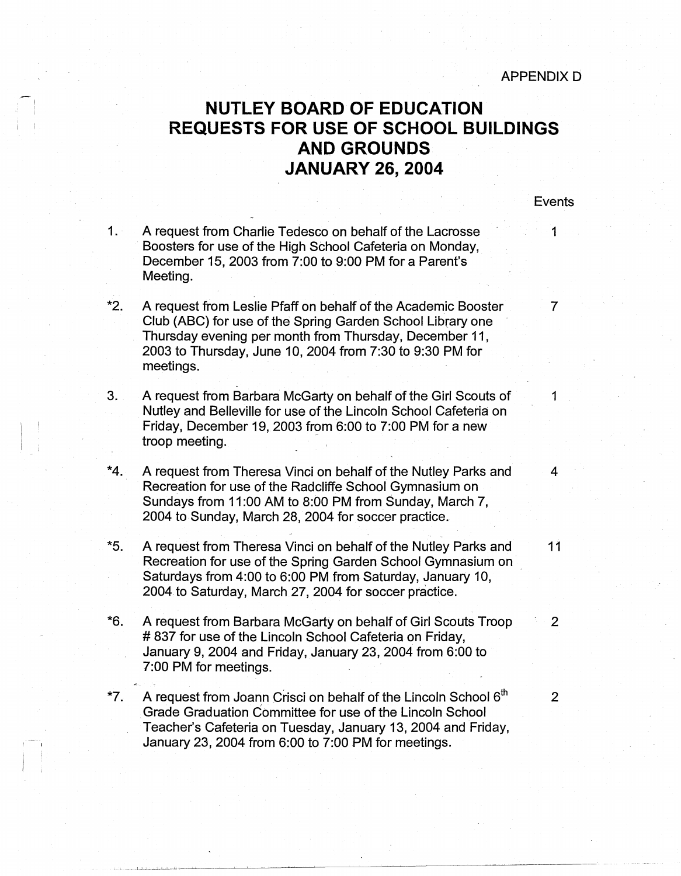Events

## **NUTLEY BOARD OF EDUCATION REQUESTS FOR USE OF SCHOOL BUILDINGS AND GROUNDS JANUARY 26, 2004**

| 1.1   | A request from Charlie Tedesco on behalf of the Lacrosse<br>Boosters for use of the High School Cafeteria on Monday,<br>December 15, 2003 from 7:00 to 9:00 PM for a Parent's<br>Meeting.                                                                      | 1              |
|-------|----------------------------------------------------------------------------------------------------------------------------------------------------------------------------------------------------------------------------------------------------------------|----------------|
| *2.   | A request from Leslie Pfaff on behalf of the Academic Booster<br>Club (ABC) for use of the Spring Garden School Library one<br>Thursday evening per month from Thursday, December 11,<br>2003 to Thursday, June 10, 2004 from 7:30 to 9:30 PM for<br>meetings. | 7              |
| 3.    | A request from Barbara McGarty on behalf of the Girl Scouts of<br>Nutley and Belleville for use of the Lincoln School Cafeteria on<br>Friday, December 19, 2003 from 6:00 to 7:00 PM for a new<br>troop meeting.                                               | 1              |
| *4.   | A request from Theresa Vinci on behalf of the Nutley Parks and<br>Recreation for use of the Radcliffe School Gymnasium on<br>Sundays from 11:00 AM to 8:00 PM from Sunday, March 7,<br>2004 to Sunday, March 28, 2004 for soccer practice.                     | $\overline{4}$ |
| *5.   | A request from Theresa Vinci on behalf of the Nutley Parks and<br>Recreation for use of the Spring Garden School Gymnasium on<br>Saturdays from 4:00 to 6:00 PM from Saturday, January 10,<br>2004 to Saturday, March 27, 2004 for soccer practice.            | 11             |
| *6.   | A request from Barbara McGarty on behalf of Girl Scouts Troop<br>#837 for use of the Lincoln School Cafeteria on Friday,<br>January 9, 2004 and Friday, January 23, 2004 from 6:00 to<br>7:00 PM for meetings.                                                 | 2              |
| $*7.$ | A request from Joann Crisci on behalf of the Lincoln School 6 <sup>th</sup><br>Grade Graduation Committee for use of the Lincoln School<br>Teacher's Cafeteria on Tuesday, January 13, 2004 and Friday,<br>January 23, 2004 from 6:00 to 7:00 PM for meetings. | $\overline{2}$ |

L..L \_\_\_ J \_\_ J..\_. \_\_\_\_ \_; \_\_ \_\_\_\_j\_[\_\_\_\_ :..L.-~~-~~~~~~~~~~~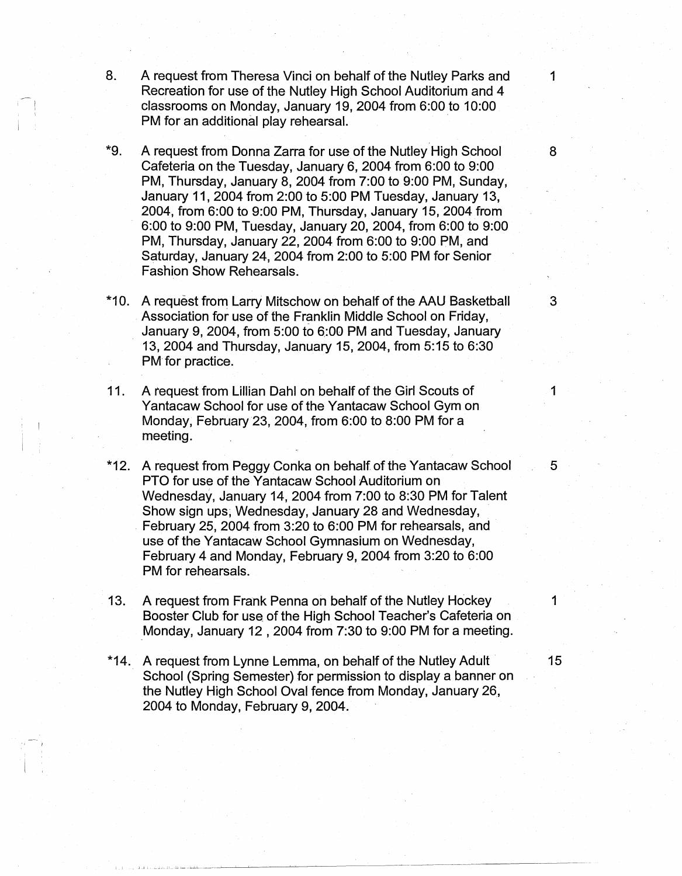- 8. A request from Theresa Vinci on behalf of the Nutley Parks and 1 Recreation for use of the Nutley High School Auditorium and 4 classrooms on Monday, January 19, 2004 from 6:00 to 10:00 PM for an additional play rehearsal.
- \*9. A request from Donna Zarra for use of the Nutley High School 8 Cafeteria on the Tuesday, January 6, 2004 from 6:00 to 9:00 PM, Thursday, January 8, 2004 from 7:00 to 9:00 PM, Sunday, January 11, 2004 from 2:00 to 5:00 PM Tuesday, January 13, 2004, from 6:00 to 9:00 PM, Thursday, January 15, 2004 from 6:00 to 9:00 PM, Tuesday, January 20, 2004, from 6:00 to 9:00 PM, Thursday, January 22, 2004 from 6:00 to 9:00 PM, and Saturday, January 24, 2004 from 2:00 to 5:00 PM for Senior Fashion Show Rehearsals.
- \*10. A request from Larry Mitschow on behalf of the AAU Basketball 3 Association for use of the Franklin Middle School on Friday, January 9, 2004, from 5:00 to 6:00 PM and Tuesday, January 13, 2004 and Thursday, January 15, 2004, from 5: 15 to 6:30 PM for practice.
- 11. A request from Lillian Dahl on behalf of the Girl Scouts of 1 Yantacaw School for use of the Yantacaw School Gym on Monday, February 23, 2004, from 6:00 to 8:00 PM for a meeting.
- \*12. A request from Peggy Conka on behalf of the Yantacaw School 5 5 PTO for use of the Yantacaw School Auditorium on Wednesday, January 14, 2004 from 7:00 to 8:30 PM for Talent Show sign ups; Wednesday, January 28 and Wednesday, February 25, 2004 from 3:20 to 6:00 PM for rehearsals, and use of the Yantacaw School Gymnasium on Wednesday, February 4 and Monday, February 9, 2004 from 3:20 to 6:00 PM for rehearsals.
- 13. A request from Frank Penna on behalf of the Nutley Hockey 1 Booster Club for use of the High School Teacher's Cafeteria on Monday, January 12, 2004 from 7:30 to 9:00 PM for a meeting.
- \*14. A request from Lynne Lemma, on behalf of the Nutley Adult 15 School (Spring Semester) for permission to display a banner on the Nutley High School Oval fence from Monday, January 26, 2004 to Monday, February 9, 2004.

Julie Landinie Landinie – and the complete state of the complete state of the complete state of the complete s